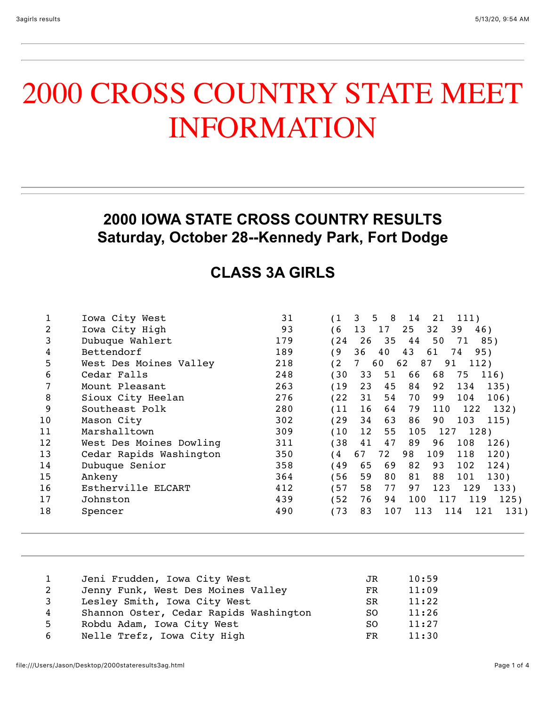## 2000 CROSS COUNTRY STATE MEET INFORMATION

#### **2000 IOWA STATE CROSS COUNTRY RESULTS Saturday, October 28--Kennedy Park, Fort Dodge**

### **CLASS 3A GIRLS**

|    | Iowa City West          | 31  | - 8<br>(1<br>3<br>5<br>14<br>21<br>111)       |
|----|-------------------------|-----|-----------------------------------------------|
| 2  | Iowa City High          | 93  | 13<br>25<br>39<br>6<br>17<br>32<br>46)        |
| 3  | Dubuque Wahlert         | 179 | 24<br>26<br>35<br>44<br>50<br>71<br>85)       |
| 4  | Bettendorf              | 189 | 43<br>36<br>40<br>95)<br>و ،<br>61<br>74      |
| 5  | West Des Moines Valley  | 218 | 87<br>$^{\circ}2$<br>60<br>62<br>91<br>112)   |
| 6  | Cedar Falls             | 248 | 33<br>66<br>68<br>30<br>51<br>75<br>116)      |
|    | Mount Pleasant          | 263 | 45<br>19<br>23<br>84<br>92<br>134<br>135)     |
| 8  | Sioux City Heelan       | 276 | 122<br>31<br>54<br>70<br>99<br>104<br>106)    |
| 9  | Southeast Polk          | 280 | 79<br>16<br>122<br>(11<br>64<br>110<br>132)   |
| 10 | Mason City              | 302 | 34<br>63<br>129<br>86<br>90<br>103<br>115)    |
| 11 | Marshalltown            | 309 | (10<br>12<br>55<br>105<br>127<br>128)         |
| 12 | West Des Moines Dowling | 311 | 138<br>41<br>47<br>89<br>108<br>126)<br>96    |
| 13 | Cedar Rapids Washington | 350 | 67<br>72<br>98<br>109<br>118<br>120)<br>4     |
| 14 | Dubuque Senior          | 358 | 65<br>124)<br>49<br>69<br>82<br>93<br>102     |
| 15 | Ankeny                  | 364 | 130)<br>56<br>59<br>80<br>81<br>88<br>101     |
| 16 | Estherville ELCART      | 412 | 77<br>97<br>57<br>58<br>129<br>123<br>133)    |
| 17 | Johnston                | 439 | 52<br>76<br>100<br>94<br>119<br>125)<br>117   |
| 18 | Spencer                 | 490 | (73<br>83<br>121<br>107<br>131)<br>113<br>114 |
|    |                         |     |                                               |

| Jeni Frudden, Iowa City West<br>JR<br>Jenny Funk, West Des Moines Valley<br>2<br>FR.<br>Lesley Smith, Iowa City West<br>3<br><b>SR</b><br>Shannon Oster, Cedar Rapids Washington<br>4<br>SO.<br>Robdu Adam, Iowa City West<br>5<br><sub>SO</sub><br>Nelle Trefz, Iowa City High<br>6<br>FR. |  |       |
|---------------------------------------------------------------------------------------------------------------------------------------------------------------------------------------------------------------------------------------------------------------------------------------------|--|-------|
|                                                                                                                                                                                                                                                                                             |  | 10:59 |
|                                                                                                                                                                                                                                                                                             |  | 11:09 |
|                                                                                                                                                                                                                                                                                             |  | 11:22 |
|                                                                                                                                                                                                                                                                                             |  | 11:26 |
|                                                                                                                                                                                                                                                                                             |  | 11:27 |
|                                                                                                                                                                                                                                                                                             |  | 11:30 |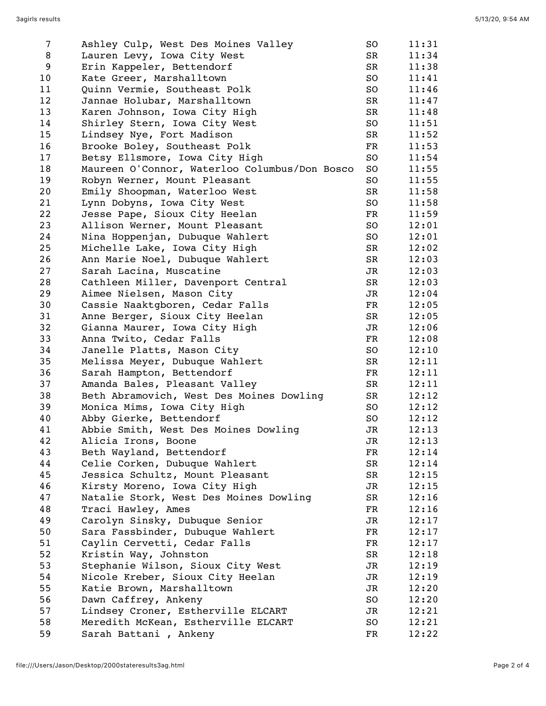| 7  | Ashley Culp, West Des Moines Valley           | SO          | 11:31 |
|----|-----------------------------------------------|-------------|-------|
| 8  | Lauren Levy, Iowa City West                   | SR          | 11:34 |
| 9  | Erin Kappeler, Bettendorf                     | SR          | 11:38 |
| 10 | Kate Greer, Marshalltown                      | SO          | 11:41 |
| 11 | Quinn Vermie, Southeast Polk                  | SO          | 11:46 |
| 12 | Jannae Holubar, Marshalltown                  | SR          | 11:47 |
| 13 | Karen Johnson, Iowa City High                 | SR          | 11:48 |
| 14 | Shirley Stern, Iowa City West                 | SO          | 11:51 |
| 15 | Lindsey Nye, Fort Madison                     | SR          | 11:52 |
| 16 | Brooke Boley, Southeast Polk                  | FR          | 11:53 |
| 17 | Betsy Ellsmore, Iowa City High                | SO          | 11:54 |
| 18 | Maureen O'Connor, Waterloo Columbus/Don Bosco | SO          | 11:55 |
| 19 | Robyn Werner, Mount Pleasant                  | SO          | 11:55 |
| 20 | Emily Shoopman, Waterloo West                 | $_{\rm SR}$ | 11:58 |
| 21 | Lynn Dobyns, Iowa City West                   | SO          | 11:58 |
| 22 | Jesse Pape, Sioux City Heelan                 | FR          | 11:59 |
| 23 | Allison Werner, Mount Pleasant                | SO          | 12:01 |
| 24 | Nina Hoppenjan, Dubuque Wahlert               | SO          | 12:01 |
| 25 | Michelle Lake, Iowa City High                 | SR          | 12:02 |
| 26 | Ann Marie Noel, Dubuque Wahlert               | SR          | 12:03 |
| 27 | Sarah Lacina, Muscatine                       | JR          | 12:03 |
| 28 | Cathleen Miller, Davenport Central            | SR          | 12:03 |
| 29 | Aimee Nielsen, Mason City                     | JR          | 12:04 |
| 30 | Cassie Naaktgboren, Cedar Falls               | FR          | 12:05 |
| 31 | Anne Berger, Sioux City Heelan                | SR          | 12:05 |
| 32 | Gianna Maurer, Iowa City High                 | JR          | 12:06 |
| 33 | Anna Twito, Cedar Falls                       | FR          | 12:08 |
| 34 | Janelle Platts, Mason City                    | SO          | 12:10 |
| 35 | Melissa Meyer, Dubuque Wahlert                | SR          | 12:11 |
| 36 | Sarah Hampton, Bettendorf                     | FR          | 12:11 |
| 37 | Amanda Bales, Pleasant Valley                 | SR          | 12:11 |
| 38 |                                               | SR          | 12:12 |
| 39 | Beth Abramovich, West Des Moines Dowling      |             |       |
|    | Monica Mims, Iowa City High                   | SO          | 12:12 |
| 40 | Abby Gierke, Bettendorf                       | SO          | 12:12 |
| 41 | Abbie Smith, West Des Moines Dowling          | JR          | 12:13 |
| 42 | Alicia Irons, Boone                           | JR          | 12:13 |
| 43 | Beth Wayland, Bettendorf                      | $_{\rm FR}$ | 12:14 |
| 44 | Celie Corken, Dubuque Wahlert                 | SR          | 12:14 |
| 45 | Jessica Schultz, Mount Pleasant               | SR          | 12:15 |
| 46 | Kirsty Moreno, Iowa City High                 | JR          | 12:15 |
| 47 | Natalie Stork, West Des Moines Dowling        | SR          | 12:16 |
| 48 | Traci Hawley, Ames                            | FR          | 12:16 |
| 49 | Carolyn Sinsky, Dubuque Senior                | JR          | 12:17 |
| 50 | Sara Fassbinder, Dubuque Wahlert              | FR          | 12:17 |
| 51 | Caylin Cervetti, Cedar Falls                  | FR          | 12:17 |
| 52 | Kristin Way, Johnston                         | SR          | 12:18 |
| 53 | Stephanie Wilson, Sioux City West             | JR          | 12:19 |
| 54 | Nicole Kreber, Sioux City Heelan              | JR          | 12:19 |
| 55 | Katie Brown, Marshalltown                     | JR          | 12:20 |
| 56 | Dawn Caffrey, Ankeny                          | SO          | 12:20 |
| 57 | Lindsey Croner, Estherville ELCART            | JR          | 12:21 |
| 58 | Meredith McKean, Estherville ELCART           | SO          | 12:21 |
| 59 | Sarah Battani, Ankeny                         | FR          | 12:22 |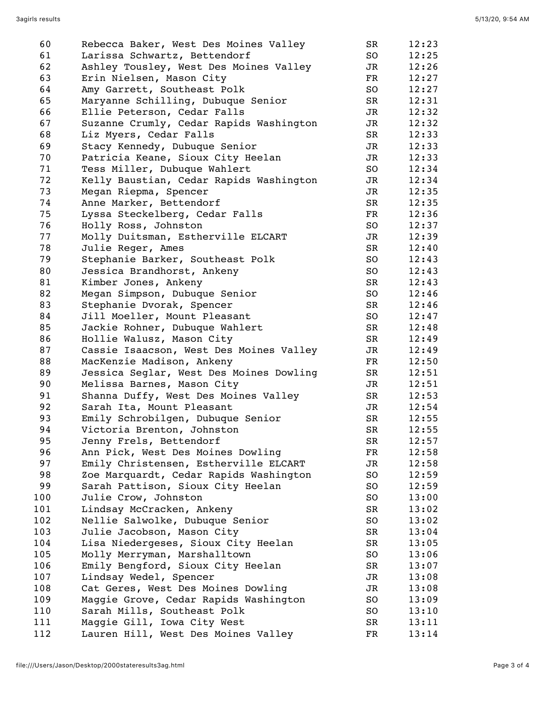| 60  | Rebecca Baker, West Des Moines Valley                             | SR                       | 12:23 |
|-----|-------------------------------------------------------------------|--------------------------|-------|
| 61  | Larissa Schwartz, Bettendorf                                      | SO                       | 12:25 |
| 62  | Ashley Tousley, West Des Moines Valley                            | JR                       | 12:26 |
| 63  | Erin Nielsen, Mason City                                          | FR                       | 12:27 |
| 64  | Amy Garrett, Southeast Polk                                       | SO                       | 12:27 |
| 65  | Maryanne Schilling, Dubuque Senior                                | SR                       | 12:31 |
| 66  | Ellie Peterson, Cedar Falls                                       | JR                       | 12:32 |
| 67  | Suzanne Crumly, Cedar Rapids Washington                           | JR                       | 12:32 |
| 68  | Liz Myers, Cedar Falls                                            | SR                       | 12:33 |
| 69  | Stacy Kennedy, Dubuque Senior                                     | JR                       | 12:33 |
| 70  | Patricia Keane, Sioux City Heelan                                 | JR                       | 12:33 |
| 71  | Tess Miller, Dubuque Wahlert                                      | SO                       | 12:34 |
| 72  | Kelly Baustian, Cedar Rapids Washington                           | JR                       | 12:34 |
| 73  | Megan Riepma, Spencer                                             | JR                       | 12:35 |
| 74  | Anne Marker, Bettendorf                                           | SR                       | 12:35 |
| 75  | Lyssa Steckelberg, Cedar Falls                                    | $_{\rm FR}$              | 12:36 |
| 76  | Holly Ross, Johnston                                              | SO                       | 12:37 |
| 77  | Molly Duitsman, Estherville ELCART                                | JR                       | 12:39 |
| 78  | Julie Reger, Ames                                                 | SR                       | 12:40 |
| 79  | Stephanie Barker, Southeast Polk                                  | SO                       | 12:43 |
| 80  | Jessica Brandhorst, Ankeny                                        | SO                       | 12:43 |
| 81  | Kimber Jones, Ankeny                                              | SR                       | 12:43 |
| 82  | Megan Simpson, Dubuque Senior                                     | SO                       | 12:46 |
| 83  | Stephanie Dvorak, Spencer                                         | SR                       | 12:46 |
| 84  | Jill Moeller, Mount Pleasant                                      | SO                       | 12:47 |
| 85  | Jackie Rohner, Dubuque Wahlert                                    | SR                       | 12:48 |
| 86  | Hollie Walusz, Mason City                                         | SR                       | 12:49 |
| 87  | Cassie Isaacson, West Des Moines Valley                           | JR                       | 12:49 |
| 88  | MacKenzie Madison, Ankeny                                         | $\overline{\mathrm{FR}}$ | 12:50 |
| 89  | Jessica Seglar, West Des Moines Dowling                           | SR                       | 12:51 |
| 90  | Melissa Barnes, Mason City                                        | JR                       | 12:51 |
| 91  | Shanna Duffy, West Des Moines Valley                              | SR                       | 12:53 |
| 92  | Sarah Ita, Mount Pleasant                                         | JR                       | 12:54 |
| 93  | Emily Schrobilgen, Dubuque Senior                                 | SR                       | 12:55 |
| 94  | Victoria Brenton, Johnston                                        | SR                       | 12:55 |
| 95  | Jenny Frels, Bettendorf                                           | SR                       | 12:57 |
| 96  | Ann Pick, West Des Moines Dowling                                 | $_{\rm FR}$              | 12:58 |
| 97  | Emily Christensen, Estherville ELCART                             | JR                       | 12:58 |
| 98  | Zoe Marquardt, Cedar Rapids Washington                            | SO                       | 12:59 |
| 99  | Sarah Pattison, Sioux City Heelan                                 | SO                       | 12:59 |
| 100 | Julie Crow, Johnston                                              | SO                       | 13:00 |
| 101 | Lindsay McCracken, Ankeny                                         | SR                       | 13:02 |
| 102 |                                                                   | SO                       |       |
|     | Nellie Salwolke, Dubuque Senior                                   |                          | 13:02 |
| 103 | Julie Jacobson, Mason City<br>Lisa Niedergeses, Sioux City Heelan | SR                       | 13:04 |
| 104 |                                                                   | SR                       | 13:05 |
| 105 | Molly Merryman, Marshalltown                                      | SO                       | 13:06 |
| 106 | Emily Bengford, Sioux City Heelan                                 | SR                       | 13:07 |
| 107 | Lindsay Wedel, Spencer                                            | JR                       | 13:08 |
| 108 | Cat Geres, West Des Moines Dowling                                | JR                       | 13:08 |
| 109 | Maggie Grove, Cedar Rapids Washington                             | SO                       | 13:09 |
| 110 | Sarah Mills, Southeast Polk                                       | SO                       | 13:10 |
| 111 | Maggie Gill, Iowa City West                                       | SR                       | 13:11 |
| 112 | Lauren Hill, West Des Moines Valley                               | $_{\rm FR}$              | 13:14 |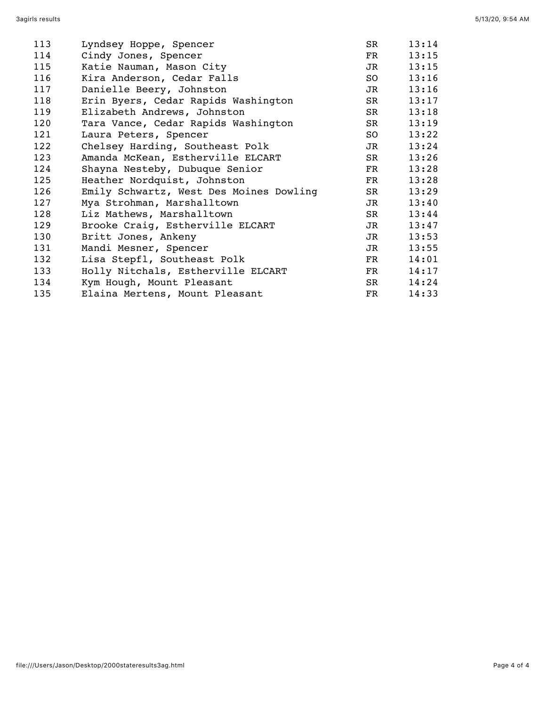| 113 | Lyndsey Hoppe, Spencer                  | SR                                                                                                                                                                                                                             | 13:14 |
|-----|-----------------------------------------|--------------------------------------------------------------------------------------------------------------------------------------------------------------------------------------------------------------------------------|-------|
| 114 | Cindy Jones, Spencer                    | FR                                                                                                                                                                                                                             | 13:15 |
| 115 | Katie Nauman, Mason City                | JR I                                                                                                                                                                                                                           | 13:15 |
| 116 | Kira Anderson, Cedar Falls              | SO and the set of the set of the set of the set of the set of the set of the set of the set of the set of the set of the set of the set of the set of the set of the set of the set of the set of the set of the set of the se | 13:16 |
| 117 | Danielle Beery, Johnston                | JR                                                                                                                                                                                                                             | 13:16 |
| 118 | Erin Byers, Cedar Rapids Washington     | SR and the set of the set of the set of the set of the set of the set of the set of the set of the set of the set of the set of the set of the set of the set of the set of the set of the set of the set of the set of the se | 13:17 |
| 119 | Elizabeth Andrews, Johnston             | SR and the set of the set of the set of the set of the set of the set of the set of the set of the set of the set of the set of the set of the set of the set of the set of the set of the set of the set of the set of the se | 13:18 |
| 120 | Tara Vance, Cedar Rapids Washington     | SR and the set of the set of the set of the set of the set of the set of the set of the set of the set of the set of the set of the set of the set of the set of the set of the set of the set of the set of the set of the se | 13:19 |
| 121 | Laura Peters, Spencer                   | SO <sub>2</sub>                                                                                                                                                                                                                | 13:22 |
| 122 | Chelsey Harding, Southeast Polk         | <b>JR</b>                                                                                                                                                                                                                      | 13:24 |
| 123 | Amanda McKean, Estherville ELCART       | SR                                                                                                                                                                                                                             | 13:26 |
| 124 | Shayna Nesteby, Dubuque Senior          | <b>FR</b>                                                                                                                                                                                                                      | 13:28 |
| 125 | Heather Nordquist, Johnston             | FR                                                                                                                                                                                                                             | 13:28 |
| 126 | Emily Schwartz, West Des Moines Dowling | SR                                                                                                                                                                                                                             | 13:29 |
| 127 | Mya Strohman, Marshalltown              | JR I                                                                                                                                                                                                                           | 13:40 |
| 128 | Liz Mathews, Marshalltown               | SR                                                                                                                                                                                                                             | 13:44 |
| 129 | Brooke Craig, Estherville ELCART        | <b>JR</b>                                                                                                                                                                                                                      | 13:47 |
| 130 | Britt Jones, Ankeny                     | JR                                                                                                                                                                                                                             | 13:53 |
| 131 | Mandi Mesner, Spencer                   | JR DI                                                                                                                                                                                                                          | 13:55 |
| 132 | Lisa Stepfl, Southeast Polk             | FR                                                                                                                                                                                                                             | 14:01 |
| 133 | Holly Nitchals, Estherville ELCART      | FR                                                                                                                                                                                                                             | 14:17 |
| 134 | Kym Hough, Mount Pleasant               | SR and the set of the set of the set of the set of the set of the set of the set of the set of the set of the set of the set of the set of the set of the set of the set of the set of the set of the set of the set of the se | 14:24 |
| 135 | Elaina Mertens, Mount Pleasant          | $_{\rm FR}$                                                                                                                                                                                                                    | 14:33 |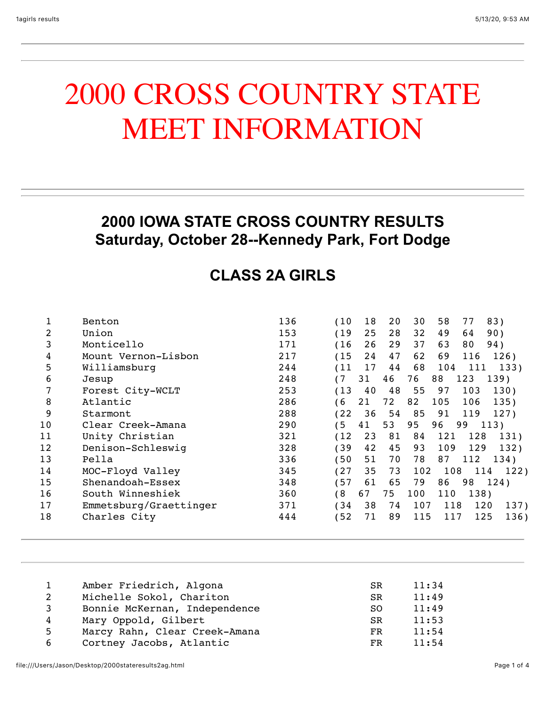## 2000 CROSS COUNTRY STATE MEET INFORMATION

#### **2000 IOWA STATE CROSS COUNTRY RESULTS Saturday, October 28--Kennedy Park, Fort Dodge**

#### **CLASS 2A GIRLS**

|    | Benton                 | 136 | (10) | 18 | 20 | 30  | 58  | 77   | 83)  |
|----|------------------------|-----|------|----|----|-----|-----|------|------|
| 2  | Union                  | 153 | (19  | 25 | 28 | 32  | 49  | 64   | 90)  |
| 3  | Monticello             | 171 | (16) | 26 | 29 | 37  | 63  | 80   | 94)  |
| 4  | Mount Vernon-Lisbon    | 217 | (15) | 24 | 47 | 62  | 69  | 116  | 126) |
| 5  | Williamsburg           | 244 | (11) | 17 | 44 | 68  | 104 | 111  | 133) |
| 6  | Jesup                  | 248 |      | 31 | 46 | 76  | 88  | 123  | 139) |
|    | Forest City-WCLT       | 253 | (13) | 40 | 48 | 55  | 97  | 103  | 130) |
| 8  | Atlantic               | 286 | 6    | 21 | 72 | 82  | 105 | 106  | 135) |
| 9  | Starmont               | 288 | (22) | 36 | 54 | 85  | 91  | 119  | 127) |
| 10 | Clear Creek-Amana      | 290 | 5    | 41 | 53 | 95  | 96  | 99   | 113) |
| 11 | Unity Christian        | 321 | (12) | 23 | 81 | 84  | 121 | 128  | 131) |
| 12 | Denison-Schleswiq      | 328 | 39   | 42 | 45 | 93  | 109 | 129  | 132) |
| 13 | Pella                  | 336 | (50) | 51 | 70 | 78  | 87  | 112  | 134) |
| 14 | MOC-Floyd Valley       | 345 | (27) | 35 | 73 | 102 | 108 | 114  | 122) |
| 15 | Shenandoah-Essex       | 348 | (57  | 61 | 65 | 79  | 86  | 98   | 124) |
| 16 | South Winneshiek       | 360 | 6 )  | 67 | 75 | 100 | 110 | 138) |      |
| 17 | Emmetsburg/Graettinger | 371 | (34  | 38 | 74 | 107 | 118 | 120  | 137) |
| 18 | Charles City           | 444 | (52) | 71 | 89 | 115 | 117 | 125  | 136) |
|    |                        |     |      |    |    |     |     |      |      |

| 1  | Amber Friedrich, Algona       | SR. | 11:34 |
|----|-------------------------------|-----|-------|
| 2  | Michelle Sokol, Chariton      | SR. | 11:49 |
| 3  | Bonnie McKernan, Independence | SO. | 11:49 |
| 4  | Mary Oppold, Gilbert          | SR. | 11:53 |
| 5. | Marcy Rahn, Clear Creek-Amana | FR. | 11:54 |
| 6  | Cortney Jacobs, Atlantic      | FR  | 11:54 |
|    |                               |     |       |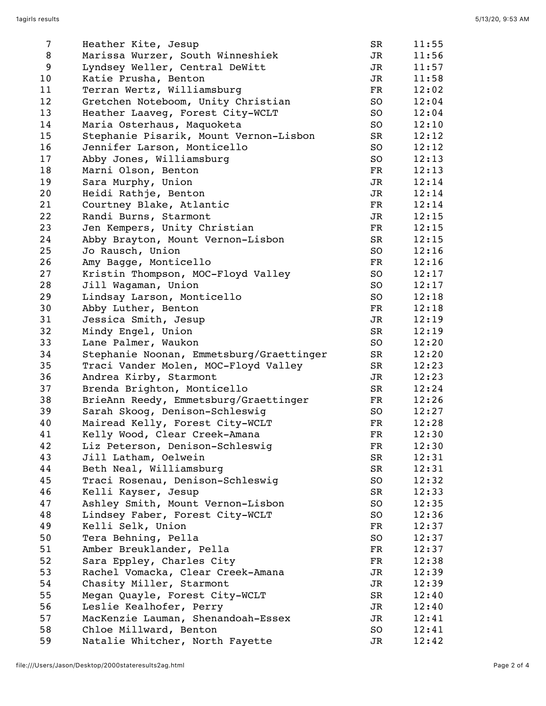| 7  | Heather Kite, Jesup                      | SR                       | 11:55 |
|----|------------------------------------------|--------------------------|-------|
| 8  | Marissa Wurzer, South Winneshiek         | JR                       | 11:56 |
| 9  | Lyndsey Weller, Central DeWitt           | JR                       | 11:57 |
| 10 | Katie Prusha, Benton                     | JR                       | 11:58 |
| 11 | Terran Wertz, Williamsburg               | FR                       | 12:02 |
| 12 | Gretchen Noteboom, Unity Christian       | SO                       | 12:04 |
| 13 | Heather Laaveg, Forest City-WCLT         | SO                       | 12:04 |
| 14 | Maria Osterhaus, Maquoketa               | SO                       | 12:10 |
| 15 | Stephanie Pisarik, Mount Vernon-Lisbon   | SR                       | 12:12 |
| 16 | Jennifer Larson, Monticello              | SO                       | 12:12 |
| 17 | Abby Jones, Williamsburg                 | SO                       | 12:13 |
| 18 | Marni Olson, Benton                      | FR                       | 12:13 |
| 19 | Sara Murphy, Union                       | JR                       | 12:14 |
| 20 | Heidi Rathje, Benton                     | JR                       | 12:14 |
| 21 | Courtney Blake, Atlantic                 | FR                       | 12:14 |
| 22 | Randi Burns, Starmont                    | JR                       | 12:15 |
| 23 | Jen Kempers, Unity Christian             | $\overline{\mathrm{FR}}$ | 12:15 |
| 24 | Abby Brayton, Mount Vernon-Lisbon        | SR                       | 12:15 |
| 25 | Jo Rausch, Union                         | SO                       | 12:16 |
| 26 | Amy Bagge, Monticello                    | FR                       | 12:16 |
| 27 | Kristin Thompson, MOC-Floyd Valley       | SO                       | 12:17 |
| 28 | Jill Wagaman, Union                      | SO                       | 12:17 |
| 29 |                                          | SO                       | 12:18 |
| 30 | Lindsay Larson, Monticello               | FR                       | 12:18 |
|    | Abby Luther, Benton                      |                          |       |
| 31 | Jessica Smith, Jesup                     | JR<br>SR                 | 12:19 |
| 32 | Mindy Engel, Union                       |                          | 12:19 |
| 33 | Lane Palmer, Waukon                      | SO                       | 12:20 |
| 34 | Stephanie Noonan, Emmetsburg/Graettinger | SR                       | 12:20 |
| 35 | Traci Vander Molen, MOC-Floyd Valley     | SR                       | 12:23 |
| 36 | Andrea Kirby, Starmont                   | JR                       | 12:23 |
| 37 | Brenda Brighton, Monticello              | SR                       | 12:24 |
| 38 | BrieAnn Reedy, Emmetsburg/Graettinger    | FR                       | 12:26 |
| 39 | Sarah Skoog, Denison-Schleswig           | SO                       | 12:27 |
| 40 | Mairead Kelly, Forest City-WCLT          | FR                       | 12:28 |
| 41 | Kelly Wood, Clear Creek-Amana            | FR                       | 12:30 |
| 42 | Liz Peterson, Denison-Schleswig          | FR                       | 12:30 |
| 43 | Jill Latham, Oelwein                     | SR                       | 12:31 |
| 44 | Beth Neal, Williamsburg                  | SR                       | 12:31 |
| 45 | Traci Rosenau, Denison-Schleswig         | SO                       | 12:32 |
| 46 | Kelli Kayser, Jesup                      | SR                       | 12:33 |
| 47 | Ashley Smith, Mount Vernon-Lisbon        | SO                       | 12:35 |
| 48 | Lindsey Faber, Forest City-WCLT          | SO                       | 12:36 |
| 49 | Kelli Selk, Union                        | FR                       | 12:37 |
| 50 | Tera Behning, Pella                      | SO                       | 12:37 |
| 51 | Amber Breuklander, Pella                 | FR                       | 12:37 |
| 52 | Sara Eppley, Charles City                | FR                       | 12:38 |
| 53 | Rachel Vomacka, Clear Creek-Amana        | JR                       | 12:39 |
| 54 | Chasity Miller, Starmont                 | JR                       | 12:39 |
| 55 | Megan Quayle, Forest City-WCLT           | SR                       | 12:40 |
| 56 | Leslie Kealhofer, Perry                  | JR                       | 12:40 |
| 57 | MacKenzie Lauman, Shenandoah-Essex       | JR                       | 12:41 |
| 58 | Chloe Millward, Benton                   | SO                       | 12:41 |
| 59 | Natalie Whitcher, North Fayette          | JR                       | 12:42 |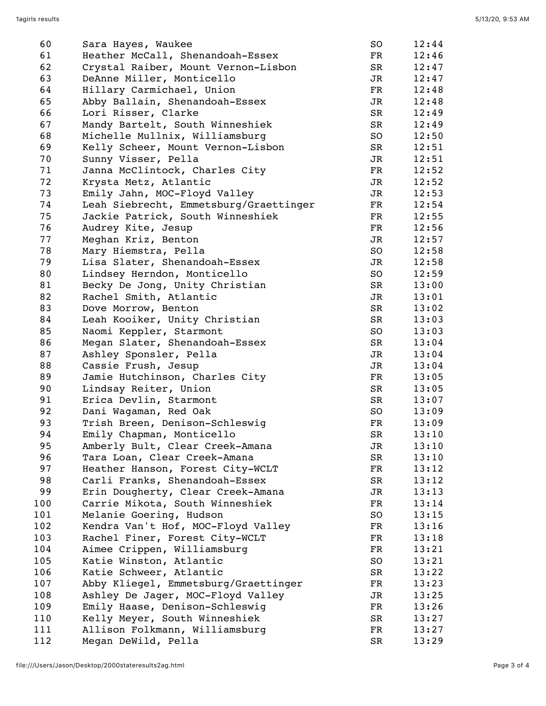| 60  | Sara Hayes, Waukee                     | SO        | 12:44 |
|-----|----------------------------------------|-----------|-------|
| 61  | Heather McCall, Shenandoah-Essex       | FR        | 12:46 |
| 62  | Crystal Raiber, Mount Vernon-Lisbon    | SR        | 12:47 |
| 63  | DeAnne Miller, Monticello              | JR        | 12:47 |
| 64  | Hillary Carmichael, Union              | FR        | 12:48 |
| 65  | Abby Ballain, Shenandoah-Essex         | JR        | 12:48 |
| 66  | Lori Risser, Clarke                    | SR        | 12:49 |
| 67  | Mandy Bartelt, South Winneshiek        | SR        | 12:49 |
| 68  | Michelle Mullnix, Williamsburg         | SO        | 12:50 |
| 69  | Kelly Scheer, Mount Vernon-Lisbon      | SR        | 12:51 |
| 70  | Sunny Visser, Pella                    | JR        | 12:51 |
| 71  | Janna McClintock, Charles City         | FR        | 12:52 |
| 72  | Krysta Metz, Atlantic                  | JR        | 12:52 |
| 73  | Emily Jahn, MOC-Floyd Valley           | JR        | 12:53 |
| 74  | Leah Siebrecht, Emmetsburg/Graettinger | FR        | 12:54 |
| 75  | Jackie Patrick, South Winneshiek       | FR        | 12:55 |
| 76  | Audrey Kite, Jesup                     | FR        | 12:56 |
| 77  | Meghan Kriz, Benton                    | JR        | 12:57 |
| 78  | Mary Hiemstra, Pella                   | SO        | 12:58 |
| 79  | Lisa Slater, Shenandoah-Essex          | JR        | 12:58 |
| 80  | Lindsey Herndon, Monticello            | SO        | 12:59 |
| 81  | Becky De Jong, Unity Christian         | SR        | 13:00 |
| 82  | Rachel Smith, Atlantic                 | JR        | 13:01 |
| 83  | Dove Morrow, Benton                    | SR        | 13:02 |
| 84  | Leah Kooiker, Unity Christian          | SR        | 13:03 |
| 85  | Naomi Keppler, Starmont                | SO        | 13:03 |
| 86  | Megan Slater, Shenandoah-Essex         | SR        | 13:04 |
| 87  | Ashley Sponsler, Pella                 | JR        | 13:04 |
| 88  | Cassie Frush, Jesup                    | JR        | 13:04 |
| 89  | Jamie Hutchinson, Charles City         | FR        | 13:05 |
| 90  | Lindsay Reiter, Union                  | SR        | 13:05 |
| 91  | Erica Devlin, Starmont                 | SR        | 13:07 |
| 92  | Dani Wagaman, Red Oak                  | SO        | 13:09 |
| 93  | Trish Breen, Denison-Schleswig         | FR        | 13:09 |
| 94  | Emily Chapman, Monticello              | <b>SR</b> | 13:10 |
| 95  | Amberly Bult, Clear Creek-Amana        | JR        | 13:10 |
| 96  | Tara Loan, Clear Creek-Amana           | SR        | 13:10 |
| 97  | Heather Hanson, Forest City-WCLT       | FR        | 13:12 |
| 98  | Carli Franks, Shenandoah-Essex         | SR        | 13:12 |
| 99  | Erin Dougherty, Clear Creek-Amana      | JR        | 13:13 |
| 100 | Carrie Mikota, South Winneshiek        | FR        | 13:14 |
| 101 | Melanie Goering, Hudson                | SO        | 13:15 |
| 102 | Kendra Van't Hof, MOC-Floyd Valley     | FR        | 13:16 |
| 103 | Rachel Finer, Forest City-WCLT         | FR        | 13:18 |
| 104 | Aimee Crippen, Williamsburg            | FR        | 13:21 |
| 105 | Katie Winston, Atlantic                | SO        | 13:21 |
| 106 | Katie Schweer, Atlantic                | SR        | 13:22 |
| 107 | Abby Kliegel, Emmetsburg/Graettinger   | FR        | 13:23 |
| 108 | Ashley De Jager, MOC-Floyd Valley      | JR        | 13:25 |
| 109 | Emily Haase, Denison-Schleswig         | FR        | 13:26 |
| 110 | Kelly Meyer, South Winneshiek          | SR        | 13:27 |
| 111 | Allison Folkmann, Williamsburg         | FR        | 13:27 |
| 112 | Megan DeWild, Pella                    | SR        | 13:29 |
|     |                                        |           |       |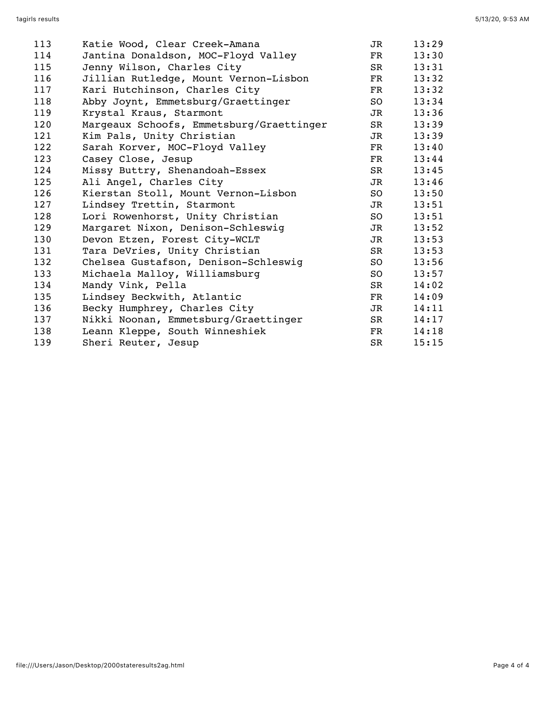| Katie Wood, Clear Creek-Amana            | JR          | 13:29                       |
|------------------------------------------|-------------|-----------------------------|
| Jantina Donaldson, MOC-Floyd Valley      | $_{\rm FR}$ | 13:30                       |
| Jenny Wilson, Charles City               | SR          | 13:31                       |
| Jillian Rutledge, Mount Vernon-Lisbon    | $_{\rm FR}$ | 13:32                       |
| Kari Hutchinson, Charles City            | FR          | 13:32                       |
| Abby Joynt, Emmetsburg/Graettinger       | SO -        | 13:34                       |
| Krystal Kraus, Starmont                  | JR          | 13:36                       |
| Margeaux Schoofs, Emmetsburg/Graettinger | SR          | 13:39                       |
| Kim Pals, Unity Christian                | JR          | 13:39                       |
| Sarah Korver, MOC-Floyd Valley           | FR          | 13:40                       |
| Casey Close, Jesup                       | FR          | 13:44                       |
| Missy Buttry, Shenandoah-Essex           | SR          | 13:45                       |
| Ali Angel, Charles City                  | JR          | 13:46                       |
| Kierstan Stoll, Mount Vernon-Lisbon      |             | 13:50                       |
| Lindsey Trettin, Starmont                | JR          | 13:51                       |
| Lori Rowenhorst, Unity Christian         | SO          | 13:51                       |
| Margaret Nixon, Denison-Schleswig        |             | 13:52                       |
| Devon Etzen, Forest City-WCLT            | JR          | 13:53                       |
| Tara DeVries, Unity Christian            | SR          | 13:53                       |
| Chelsea Gustafson, Denison-Schleswig     | SO          | 13:56                       |
| Michaela Malloy, Williamsburg            | SO -        | 13:57                       |
| Mandy Vink, Pella                        |             | 14:02                       |
| Lindsey Beckwith, Atlantic               | FR          | 14:09                       |
| Becky Humphrey, Charles City             | JR          | 14:11                       |
| Nikki Noonan, Emmetsburg/Graettinger     | SR          | 14:17                       |
| Leann Kleppe, South Winneshiek           | FR          | 14:18                       |
| Sheri Reuter, Jesup                      | SR          | 15:15                       |
|                                          |             | SO <sub>2</sub><br>JR<br>SR |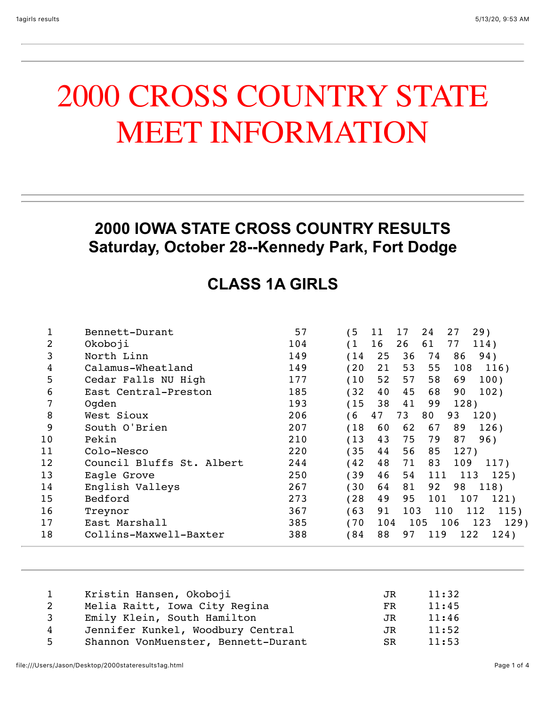# 2000 CROSS COUNTRY STATE MEET INFORMATION

#### **2000 IOWA STATE CROSS COUNTRY RESULTS Saturday, October 28--Kennedy Park, Fort Dodge**

### **CLASS 1A GIRLS**

|    | Bennett-Durant            | 57  | 5           | 11  | 17  | 24  | 27<br>29)          |
|----|---------------------------|-----|-------------|-----|-----|-----|--------------------|
| 2  | Okoboji                   | 104 | (1          | 16  | 26  | 61  | 77<br>114)         |
| 3  | North Linn                | 149 | 14          | 25  | 36  | 74  | 86<br>94)          |
| 4  | Calamus-Wheatland         | 149 | 20          | 21  | 53  | 55  | 108<br>116)        |
| 5  | Cedar Falls NU High       | 177 | 10          | 52  | 57  | 58  | 69<br>100)         |
| 6  | East Central-Preston      | 185 | 32          | 40  | 45  | 68  | 90<br>102)         |
| 7  | Ogden                     | 193 | (15         | 38  | 41  | 99  | 128)               |
| 8  | West Sioux                | 206 | $6^{\circ}$ | 47  | 73  | 80  | 120)<br>93         |
| 9  | South O'Brien             | 207 | (18         | 60  | 62  | 67  | 89<br>126)         |
| 10 | Pekin                     | 210 | (13         | 43  | 75  | 79  | 87<br>96)          |
| 11 | Colo-Nesco                | 220 | 35          | 44  | 56  | 85  | 127)               |
| 12 | Council Bluffs St. Albert | 244 | 42          | 48  | 71  | 83  | 109<br>117)        |
| 13 | Eagle Grove               | 250 | 39          | 46  | 54  | 111 | 113<br>125)        |
| 14 | English Valleys           | 267 | 30          | 64  | 81  | 92  | 98<br>118)         |
| 15 | Bedford                   | 273 | 28          | 49  | 95  | 101 | 107<br>121)        |
| 16 | Treynor                   | 367 | 63          | 91  | 103 |     | 110<br>112<br>115) |
| 17 | East Marshall             | 385 | 170         | 104 |     | 105 | 106<br>123<br>129) |
| 18 | Collins-Maxwell-Baxter    | 388 | 84 '        | 88  | 97  | 119 | 122<br>124)        |

| $\mathbf{1}$ | Kristin Hansen, Okoboji             | JR. | 11:32 |
|--------------|-------------------------------------|-----|-------|
| $\mathbf{2}$ | Melia Raitt, Iowa City Regina       | FR  | 11:45 |
| 3            | Emily Klein, South Hamilton         | JR. | 11:46 |
| 4            | Jennifer Kunkel, Woodbury Central   | JR. | 11:52 |
| 5            | Shannon VonMuenster, Bennett-Durant | SR. | 11:53 |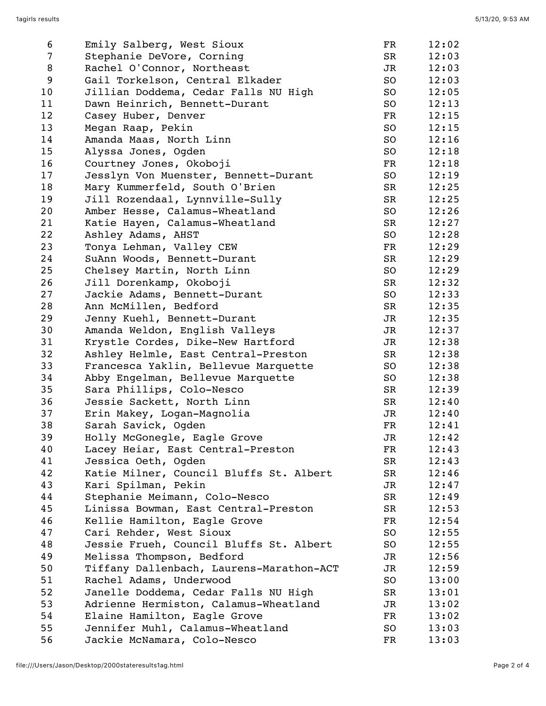| 6              | Emily Salberg, West Sioux                | $_{\rm FR}$   | 12:02 |
|----------------|------------------------------------------|---------------|-------|
| $\overline{7}$ | Stephanie DeVore, Corning                | SR            | 12:03 |
| 8              | Rachel O'Connor, Northeast               | JR            | 12:03 |
| 9              | Gail Torkelson, Central Elkader          | SO            | 12:03 |
| 10             | Jillian Doddema, Cedar Falls NU High     | SO            | 12:05 |
| 11             | Dawn Heinrich, Bennett-Durant            | SO            | 12:13 |
| 12             | Casey Huber, Denver                      | FR            | 12:15 |
| 13             | Megan Raap, Pekin                        | SO            | 12:15 |
| 14             | Amanda Maas, North Linn                  | SO            | 12:16 |
| 15             | Alyssa Jones, Ogden                      | SO            | 12:18 |
| 16             | Courtney Jones, Okoboji                  | $\mathbf{FR}$ | 12:18 |
| 17             | Jesslyn Von Muenster, Bennett-Durant     | SO            | 12:19 |
| 18             | Mary Kummerfeld, South O'Brien           | SR            | 12:25 |
| 19             | Jill Rozendaal, Lynnville-Sully          | SR            | 12:25 |
| 20             | Amber Hesse, Calamus-Wheatland           | SO            | 12:26 |
| 21             | Katie Hayen, Calamus-Wheatland           | SR            | 12:27 |
| 22             | Ashley Adams, AHST                       | SO            | 12:28 |
| 23             | Tonya Lehman, Valley CEW                 | FR            | 12:29 |
| 24             | SuAnn Woods, Bennett-Durant              | SR            | 12:29 |
| 25             | Chelsey Martin, North Linn               | SO            | 12:29 |
| 26             | Jill Dorenkamp, Okoboji                  | SR            | 12:32 |
| 27             | Jackie Adams, Bennett-Durant             | SO            | 12:33 |
| 28             | Ann McMillen, Bedford                    | SR            | 12:35 |
| 29             | Jenny Kuehl, Bennett-Durant              | JR            | 12:35 |
| 30             | Amanda Weldon, English Valleys           | JR            | 12:37 |
| 31             | Krystle Cordes, Dike-New Hartford        | JR            | 12:38 |
| 32             | Ashley Helmle, East Central-Preston      | SR            | 12:38 |
| 33             | Francesca Yaklin, Bellevue Marquette     | SO            | 12:38 |
| 34             | Abby Engelman, Bellevue Marquette        | SO            | 12:38 |
| 35             | Sara Phillips, Colo-Nesco                | SR            | 12:39 |
| 36             | Jessie Sackett, North Linn               | SR            | 12:40 |
| 37             | Erin Makey, Logan-Magnolia               | JR            | 12:40 |
| 38             | Sarah Savick, Ogden                      | FR            | 12:41 |
| 39             | Holly McGonegle, Eagle Grove             | <b>JR</b>     | 12:42 |
| 40             | Lacey Heiar, East Central-Preston        | FR            | 12:43 |
| 41             | Jessica Oeth, Ogden                      | SR            | 12:43 |
| 42             | Katie Milner, Council Bluffs St. Albert  | SR            | 12:46 |
| 43             | Kari Spilman, Pekin                      | JR            | 12:47 |
| 44             | Stephanie Meimann, Colo-Nesco            | SR            | 12:49 |
| 45             | Linissa Bowman, East Central-Preston     | SR            | 12:53 |
| 46             | Kellie Hamilton, Eagle Grove             | FR            | 12:54 |
| 47             | Cari Rehder, West Sioux                  | SO            | 12:55 |
| 48             | Jessie Frueh, Council Bluffs St. Albert  | SO            | 12:55 |
| 49             | Melissa Thompson, Bedford                | JR            | 12:56 |
| 50             | Tiffany Dallenbach, Laurens-Marathon-ACT | JR            | 12:59 |
| 51             | Rachel Adams, Underwood                  | SO            | 13:00 |
| 52             | Janelle Doddema, Cedar Falls NU High     | SR            | 13:01 |
| 53             | Adrienne Hermiston, Calamus-Wheatland    | JR            | 13:02 |
| 54             | Elaine Hamilton, Eagle Grove             | FR            | 13:02 |
| 55             | Jennifer Muhl, Calamus-Wheatland         | SO            | 13:03 |
| 56             | Jackie McNamara, Colo-Nesco              | FR            | 13:03 |
|                |                                          |               |       |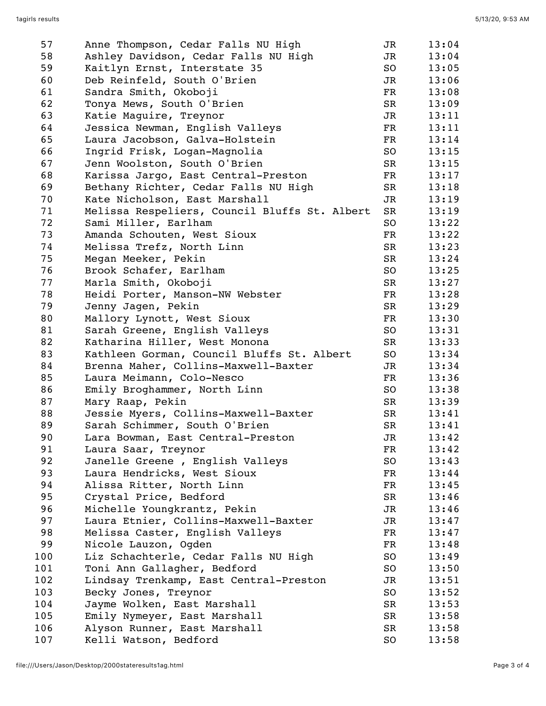| 57  | Anne Thompson, Cedar Falls NU High            | JR | 13:04 |
|-----|-----------------------------------------------|----|-------|
| 58  | Ashley Davidson, Cedar Falls NU High          | JR | 13:04 |
| 59  | Kaitlyn Ernst, Interstate 35                  | SO | 13:05 |
| 60  | Deb Reinfeld, South O'Brien                   | JR | 13:06 |
| 61  | Sandra Smith, Okoboji                         | FR | 13:08 |
| 62  | Tonya Mews, South O'Brien                     | SR | 13:09 |
| 63  | Katie Maguire, Treynor                        | JR | 13:11 |
| 64  | Jessica Newman, English Valleys               | FR | 13:11 |
| 65  | Laura Jacobson, Galva-Holstein                | FR | 13:14 |
| 66  |                                               |    |       |
|     | Ingrid Frisk, Logan-Magnolia                  | SO | 13:15 |
| 67  | Jenn Woolston, South O'Brien                  | SR | 13:15 |
| 68  | Karissa Jargo, East Central-Preston           | FR | 13:17 |
| 69  | Bethany Richter, Cedar Falls NU High          | SR | 13:18 |
| 70  | Kate Nicholson, East Marshall                 | JR | 13:19 |
| 71  | Melissa Respeliers, Council Bluffs St. Albert | SR | 13:19 |
| 72  | Sami Miller, Earlham                          | SO | 13:22 |
| 73  | Amanda Schouten, West Sioux                   | FR | 13:22 |
| 74  | Melissa Trefz, North Linn                     | SR | 13:23 |
| 75  | Megan Meeker, Pekin                           | SR | 13:24 |
| 76  | Brook Schafer, Earlham                        | SO | 13:25 |
| 77  | Marla Smith, Okoboji                          | SR | 13:27 |
| 78  | Heidi Porter, Manson-NW Webster               | FR | 13:28 |
| 79  | Jenny Jagen, Pekin                            | SR | 13:29 |
| 80  | Mallory Lynott, West Sioux                    | FR | 13:30 |
| 81  | Sarah Greene, English Valleys                 | SO | 13:31 |
| 82  | Katharina Hiller, West Monona                 | SR | 13:33 |
| 83  | Kathleen Gorman, Council Bluffs St. Albert    | SO | 13:34 |
| 84  | Brenna Maher, Collins-Maxwell-Baxter          | JR | 13:34 |
| 85  | Laura Meimann, Colo-Nesco                     | FR | 13:36 |
| 86  | Emily Broghammer, North Linn                  | SO | 13:38 |
| 87  | Mary Raap, Pekin                              | SR | 13:39 |
| 88  | Jessie Myers, Collins-Maxwell-Baxter          | SR | 13:41 |
| 89  | Sarah Schimmer, South O'Brien                 | SR | 13:41 |
| 90  | Lara Bowman, East Central-Preston             | JR | 13:42 |
| 91  | Laura Saar, Treynor                           | FR | 13:42 |
| 92  | Janelle Greene, English Valleys               | SO | 13:43 |
| 93  | Laura Hendricks, West Sioux                   | FR | 13:44 |
| 94  | Alissa Ritter, North Linn                     | FR | 13:45 |
| 95  | Crystal Price, Bedford                        | SR | 13:46 |
| 96  | Michelle Youngkrantz, Pekin                   | JR | 13:46 |
| 97  | Laura Etnier, Collins-Maxwell-Baxter          | JR | 13:47 |
| 98  | Melissa Caster, English Valleys               | FR | 13:47 |
| 99  |                                               | FR | 13:48 |
|     | Nicole Lauzon, Ogden                          |    |       |
| 100 | Liz Schachterle, Cedar Falls NU High          | SO | 13:49 |
| 101 | Toni Ann Gallagher, Bedford                   | SO | 13:50 |
| 102 | Lindsay Trenkamp, East Central-Preston        | JR | 13:51 |
| 103 | Becky Jones, Treynor                          | SO | 13:52 |
| 104 | Jayme Wolken, East Marshall                   | SR | 13:53 |
| 105 | Emily Nymeyer, East Marshall                  | SR | 13:58 |
| 106 | Alyson Runner, East Marshall                  | SR | 13:58 |
| 107 | Kelli Watson, Bedford                         | SO | 13:58 |